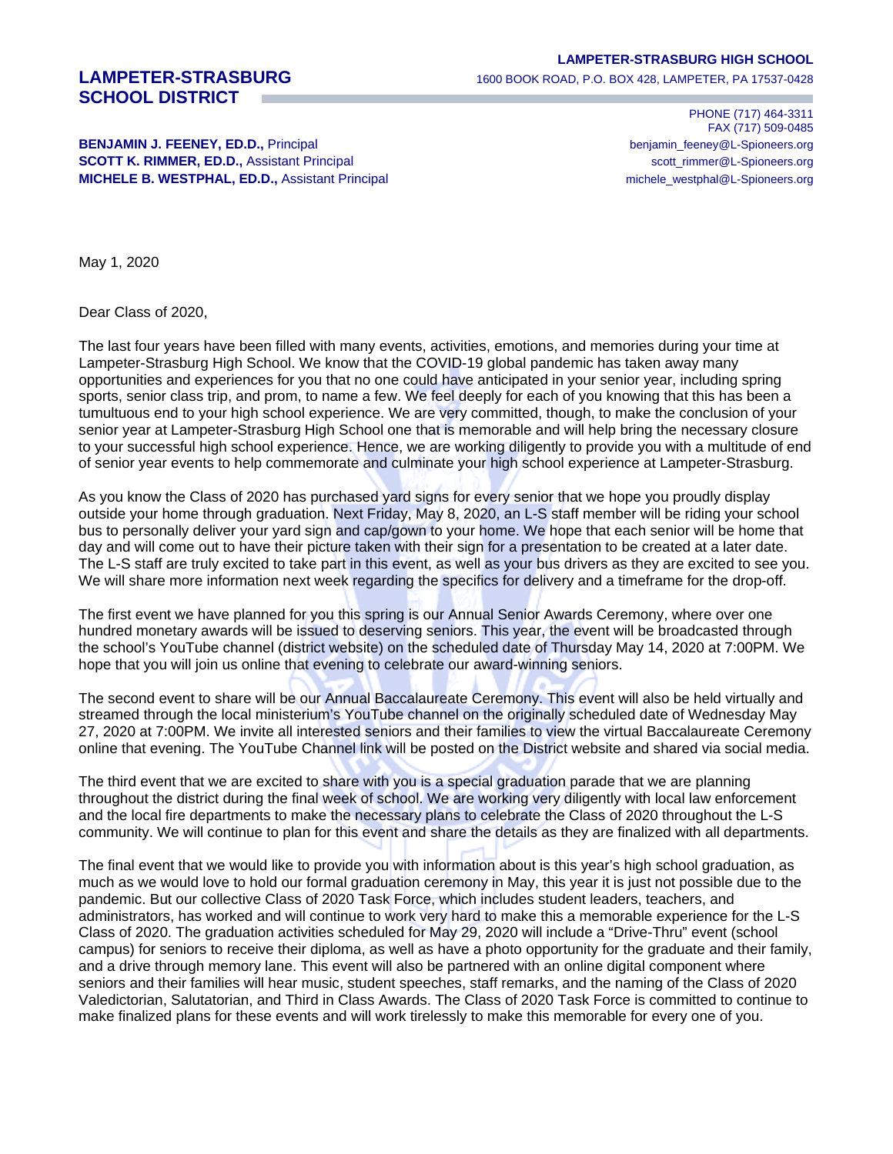## **SCHOOL DISTRICT**

## **BENJAMIN J. FEENEY, ED.D., Principal benjamin\_feeney@L-Spioneers.org** benjamin\_feeney@L-Spioneers.org **SCOTT K. RIMMER, ED.D., Assistant Principal scott\_rimmer@L-Spioneers.org** scott\_rimmer@L-Spioneers.org

**LAMPETER-STRASBURG HIGH SCHOOL**

**LAMPETER-STRASBURG** 1600 BOOK ROAD, P.O. BOX 428, LAMPETER, PA 17537-0428

PHONE (717) 464-3311 FAX (717) 509-0485 **MICHELE B. WESTPHAL, ED.D.,** Assistant Principal michald michale\_westphal@L-Spioneers.org

May 1, 2020

Dear Class of 2020,

The last four years have been filled with many events, activities, emotions, and memories during your time at Lampeter-Strasburg High School. We know that the COVID-19 global pandemic has taken away many opportunities and experiences for you that no one could have anticipated in your senior year, including spring sports, senior class trip, and prom, to name a few. We feel deeply for each of you knowing that this has been a tumultuous end to your high school experience. We are very committed, though, to make the conclusion of your senior year at Lampeter-Strasburg High School one that is memorable and will help bring the necessary closure to your successful high school experience. Hence, we are working diligently to provide you with a multitude of end of senior year events to help commemorate and culminate your high school experience at Lampeter-Strasburg.

As you know the Class of 2020 has purchased yard signs for every senior that we hope you proudly display outside your home through graduation. Next Friday, May 8, 2020, an L-S staff member will be riding your school bus to personally deliver your yard sign and cap/gown to your home. We hope that each senior will be home that day and will come out to have their picture taken with their sign for a presentation to be created at a later date. The L-S staff are truly excited to take part in this event, as well as your bus drivers as they are excited to see you. We will share more information next week regarding the specifics for delivery and a timeframe for the drop-off.

The first event we have planned for you this spring is our Annual Senior Awards Ceremony, where over one hundred monetary awards will be issued to deserving seniors. This year, the event will be broadcasted through the school's YouTube channel (district website) on the scheduled date of Thursday May 14, 2020 at 7:00PM. We hope that you will join us online that evening to celebrate our award-winning seniors.

The second event to share will be our Annual Baccalaureate Ceremony. This event will also be held virtually and streamed through the local ministerium's YouTube channel on the originally scheduled date of Wednesday May 27, 2020 at 7:00PM. We invite all interested seniors and their families to view the virtual Baccalaureate Ceremony online that evening. The YouTube Channel link will be posted on the District website and shared via social media.

The third event that we are excited to share with you is a special graduation parade that we are planning throughout the district during the final week of school. We are working very diligently with local law enforcement and the local fire departments to make the necessary plans to celebrate the Class of 2020 throughout the L-S community. We will continue to plan for this event and share the details as they are finalized with all departments.

The final event that we would like to provide you with information about is this year's high school graduation, as much as we would love to hold our formal graduation ceremony in May, this year it is just not possible due to the pandemic. But our collective Class of 2020 Task Force, which includes student leaders, teachers, and administrators, has worked and will continue to work very hard to make this a memorable experience for the L-S Class of 2020. The graduation activities scheduled for May 29, 2020 will include a "Drive-Thru" event (school campus) for seniors to receive their diploma, as well as have a photo opportunity for the graduate and their family, and a drive through memory lane. This event will also be partnered with an online digital component where seniors and their families will hear music, student speeches, staff remarks, and the naming of the Class of 2020 Valedictorian, Salutatorian, and Third in Class Awards. The Class of 2020 Task Force is committed to continue to make finalized plans for these events and will work tirelessly to make this memorable for every one of you.